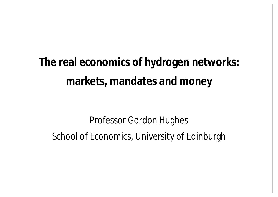**The real economics of hydrogen networks: markets, mandates and money**

Professor Gordon Hughes School of Economics, University of Edinburgh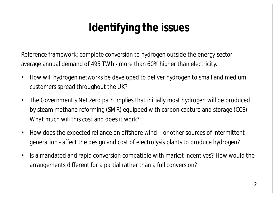# **Identifying the issues**

Reference framework: complete conversion to hydrogen outside the energy sector average annual demand of 495 TWh - more than 60% higher than electricity.

- How will hydrogen networks be developed to deliver hydrogen to small and medium customers spread throughout the UK?
- The Government's Net Zero path implies that initially most hydrogen will be produced by steam methane reforming (SMR) equipped with carbon capture and storage (CCS). What much will this cost and does it work?
- How does the expected reliance on offshore wind or other sources of intermittent generation - affect the design and cost of electrolysis plants to produce hydrogen?
- Is a mandated and rapid conversion compatible with market incentives? How would the arrangements different for a partial rather than a full conversion?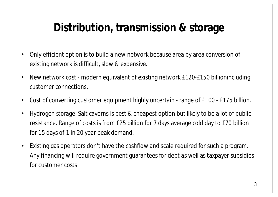## **Distribution, transmission & storage**

- Only efficient option is to build a new network because area by area conversion of existing network is difficult, slow & expensive.
- New network cost modern equivalent of existing network £120-£150 billionincluding customer connections..
- Cost of converting customer equipment highly uncertain range of £100 £175 billion.
- Hydrogen storage. Salt caverns is best & cheapest option but likely to be a lot of public resistance. Range of costs is from £25 billion for 7 days average cold day to £70 billion for 15 days of 1 in 20 year peak demand.
- Existing gas operators don't have the cashflow and scale required for such a program. Any financing will require government guarantees for debt as well as taxpayer subsidies for customer costs.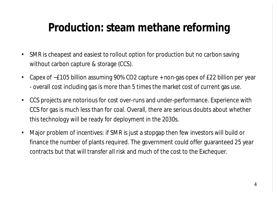## **Production: steam methane reforming**

- SMR is cheapest and easiest to rollout option for production but no carbon saving without carbon capture & storage (CCS).
- Capex of ~£105 billion assuming 90% CO2 capture + non-gas opex of £22 billion per year - overall cost including gas is more than 5 times the market cost of current gas use.
- CCS projects are notorious for cost over-runs and under-performance. Experience with CCS for gas is much less than for coal. Overall, there are serious doubts about whether this technology will be ready for deployment in the 2030s.
- Major problem of incentives: if SMR is just a stopgap then few investors will build or finance the number of plants required. The government could offer guaranteed 25 year contracts but that will transfer all risk and much of the cost to the Exchequer.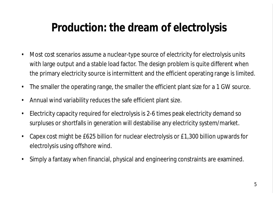### **Production: the dream of electrolysis**

- Most cost scenarios assume a nuclear-type source of electricity for electrolysis units with large output and a stable load factor. The design problem is quite different when the primary electricity source is intermittent and the efficient operating range is limited.
- The smaller the operating range, the smaller the efficient plant size for a 1 GW source.
- Annual wind variability reduces the safe efficient plant size.
- Electricity capacity required for electrolysis is 2-6 times peak electricity demand so surpluses or shortfalls in generation will destabilise any electricity system/market.
- Capex cost might be £625 billion for nuclear electrolysis or £1,300 billion upwards for electrolysis using offshore wind.
- Simply a fantasy when financial, physical and engineering constraints are examined.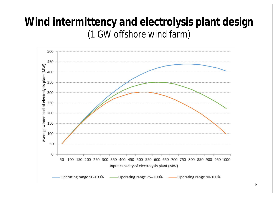#### **Wind intermittency and electrolysis plant design** (1 GW offshore wind farm)

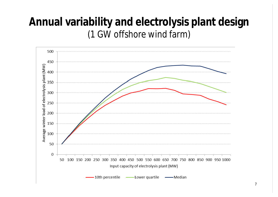#### **Annual variability and electrolysis plant design** (1 GW offshore wind farm)

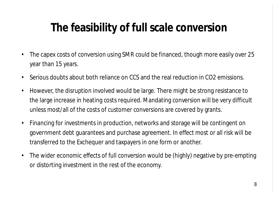## **The feasibility of full scale conversion**

- The capex costs of conversion using SMR could be financed, though more easily over 25 year than 15 years.
- Serious doubts about both reliance on CCS and the real reduction in CO2 emissions.
- However, the disruption involved would be large. There might be strong resistance to the large increase in heating costs required. Mandating conversion will be very difficult unless most/all of the costs of customer conversions are covered by grants.
- Financing for investments in production, networks and storage will be contingent on government debt guarantees and purchase agreement. In effect most or all risk will be transferred to the Exchequer and taxpayers in one form or another.
- The wider economic effects of full conversion would be (highly) negative by pre-empting or distorting investment in the rest of the economy.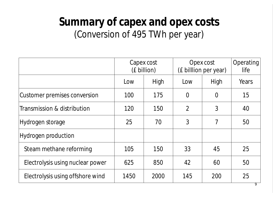#### **Summary of capex and opex costs** (Conversion of 495 TWh per year)

|                                  | Capex cost<br>(£ billion) |      | Opex cost<br>(£ billlion per year) |          | Operating<br>life |
|----------------------------------|---------------------------|------|------------------------------------|----------|-------------------|
|                                  | Low                       | High | Low                                | High     | Years             |
| Customer premises conversion     | 100                       | 175  | $\overline{0}$                     | $\Omega$ | 15                |
| Transmission & distribution      | 120                       | 150  | $\overline{2}$                     | 3        | 40                |
| Hydrogen storage                 | 25                        | 70   | 3                                  | 7        | 50                |
| Hydrogen production              |                           |      |                                    |          |                   |
| Steam methane reforming          | 105                       | 150  | 33                                 | 45       | 25                |
| Electrolysis using nuclear power | 625                       | 850  | 42                                 | 60       | 50                |
| Electrolysis using offshore wind | 1450                      | 2000 | 145                                | 200      | 25                |